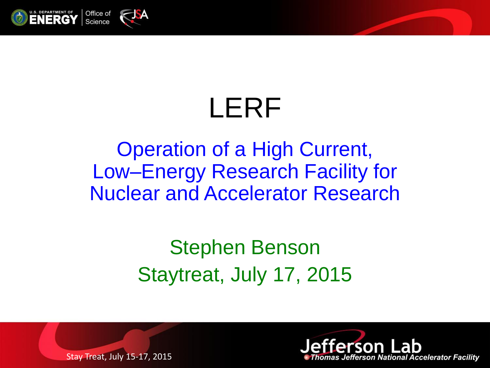

# LERF

### Operation of a High Current, Low–Energy Research Facility for Nuclear and Accelerator Research

### Stephen Benson Staytreat, July 17, 2015



Stay Treat, July 15-17, 2015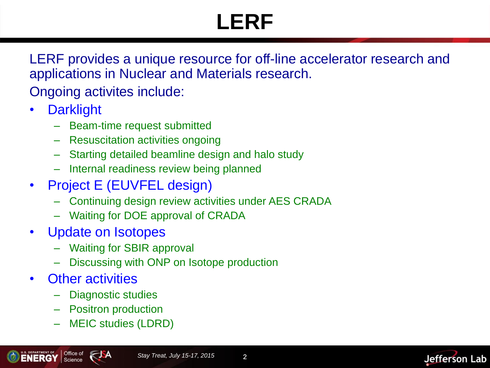# **LERF**

LERF provides a unique resource for off-line accelerator research and applications in Nuclear and Materials research.

Ongoing activites include:

- Darklight
	- Beam-time request submitted
	- Resuscitation activities ongoing
	- Starting detailed beamline design and halo study
	- Internal readiness review being planned
- Project E (EUVFEL design)
	- Continuing design review activities under AES CRADA
	- Waiting for DOE approval of CRADA
- Update on Isotopes
	- Waiting for SBIR approval
	- Discussing with ONP on Isotope production
- Other activities
	- Diagnostic studies
	- Positron production
	- MEIC studies (LDRD)

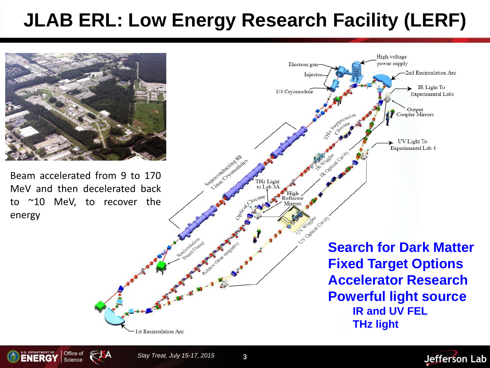### **JLAB ERL: Low Energy Research Facility (LERF)**



Beam accelerated from 9 to 170 MeV and then decelerated back to ~10 MeV, to recover the energy





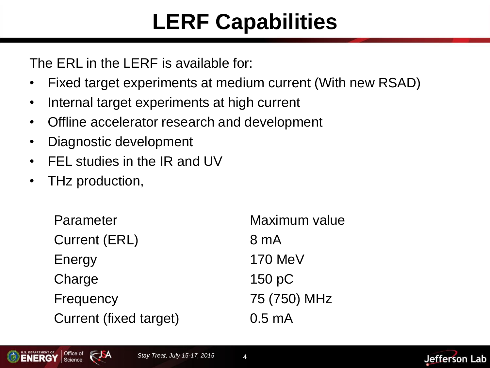### **LERF Capabilities**

The ERL in the LERF is available for:

- Fixed target experiments at medium current (With new RSAD)
- Internal target experiments at high current
- Offline accelerator research and development
- Diagnostic development
- FEL studies in the IR and UV
- THz production,

Parameter Maximum value Current (ERL) 8 mA Energy 170 MeV Charge 150 pC Frequency 75 (750) MHz Current (fixed target) 0.5 mA

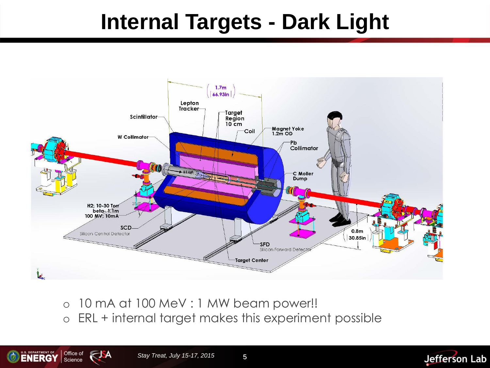### **Internal Targets - Dark Light**



o 10 mA at 100 MeV : 1 MW beam power!! o ERL + internal target makes this experiment possible





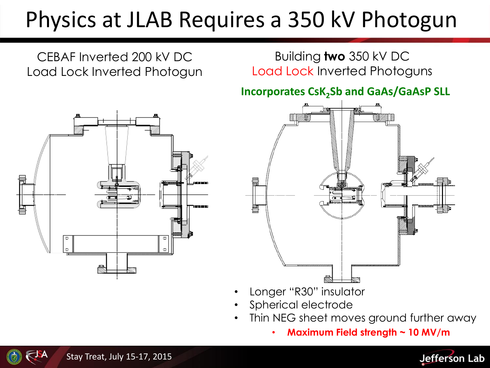### Physics at JLAB Requires a 350 kV Photogun



- Longer "R30" insulator
- Spherical electrode
- Thin NEG sheet moves ground further away
	- **Maximum Field strength ~ 10 MV/m**



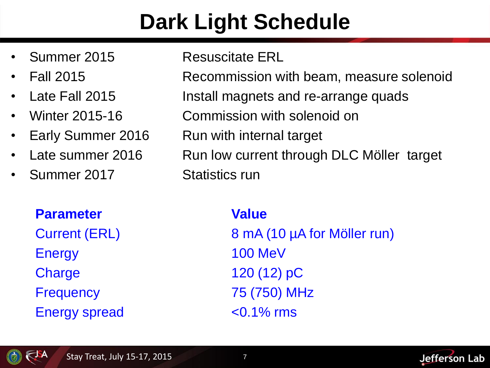## **Dark Light Schedule**

- 
- 
- 
- 
- 
- 
- Summer 2017 Statistics run

#### **Parameter Value**

Energy 100 MeV Charge 120 (12) pC Frequency 75 (750) MHz Energy spread <0.1% rms

#### • Summer 2015 Resuscitate ERL

• Fall 2015 Recommission with beam, measure solenoid

- Late Fall 2015 Install magnets and re-arrange quads
- Winter 2015-16 Commission with solenoid on
- Early Summer 2016 Run with internal target
- Late summer 2016 Run low current through DLC Möller target

Current (ERL) 8 mA (10 µA for Möller run)



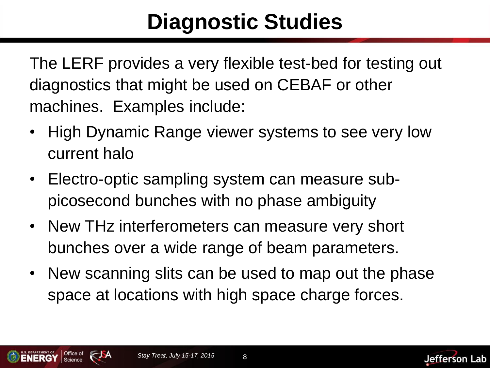### **Diagnostic Studies**

The LERF provides a very flexible test-bed for testing out diagnostics that might be used on CEBAF or other machines. Examples include:

- High Dynamic Range viewer systems to see very low current halo
- Electro-optic sampling system can measure subpicosecond bunches with no phase ambiguity
- New THz interferometers can measure very short bunches over a wide range of beam parameters.
- New scanning slits can be used to map out the phase space at locations with high space charge forces.



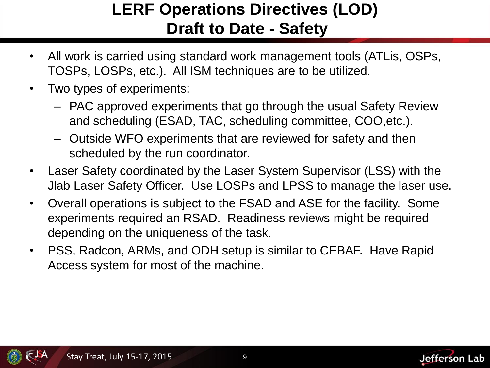### **LERF Operations Directives (LOD) Draft to Date - Safety**

- All work is carried using standard work management tools (ATLis, OSPs, TOSPs, LOSPs, etc.). All ISM techniques are to be utilized.
- Two types of experiments:
	- PAC approved experiments that go through the usual Safety Review and scheduling (ESAD, TAC, scheduling committee, COO,etc.).
	- Outside WFO experiments that are reviewed for safety and then scheduled by the run coordinator.
- Laser Safety coordinated by the Laser System Supervisor (LSS) with the Jlab Laser Safety Officer. Use LOSPs and LPSS to manage the laser use.
- Overall operations is subject to the FSAD and ASE for the facility. Some experiments required an RSAD. Readiness reviews might be required depending on the uniqueness of the task.
- PSS, Radcon, ARMs, and ODH setup is similar to CEBAF. Have Rapid Access system for most of the machine.



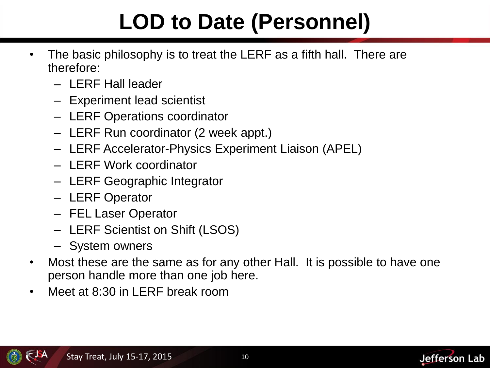# **LOD to Date (Personnel)**

- The basic philosophy is to treat the LERF as a fifth hall. There are therefore:
	- LERF Hall leader
	- Experiment lead scientist
	- LERF Operations coordinator
	- LERF Run coordinator (2 week appt.)
	- LERF Accelerator-Physics Experiment Liaison (APEL)
	- LERF Work coordinator
	- LERF Geographic Integrator
	- LERF Operator
	- FEL Laser Operator
	- LERF Scientist on Shift (LSOS)
	- System owners
- Most these are the same as for any other Hall. It is possible to have one person handle more than one job here.
- Meet at 8:30 in LERF break room



**Jefferson Lab**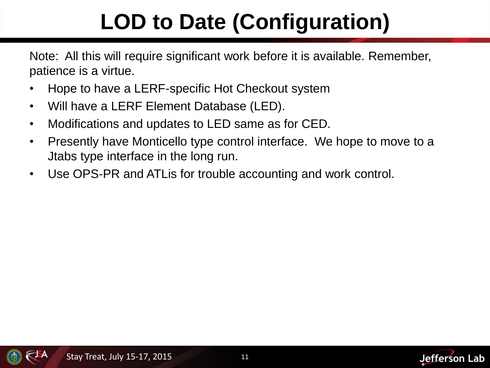# **LOD to Date (Configuration)**

Note: All this will require significant work before it is available. Remember, patience is a virtue.

- Hope to have a LERF-specific Hot Checkout system
- Will have a LERF Element Database (LED).
- Modifications and updates to LED same as for CED.
- Presently have Monticello type control interface. We hope to move to a Jtabs type interface in the long run.
- Use OPS-PR and ATLis for trouble accounting and work control.



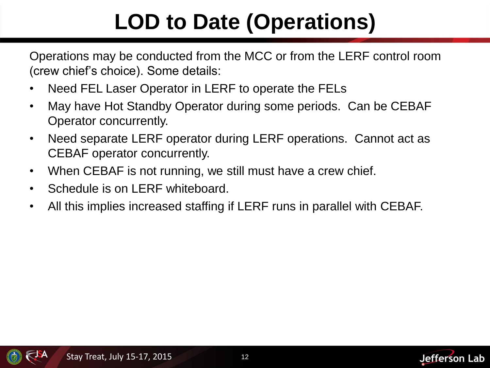# **LOD to Date (Operations)**

Operations may be conducted from the MCC or from the LERF control room (crew chief's choice). Some details:

- Need FEL Laser Operator in LERF to operate the FELs
- May have Hot Standby Operator during some periods. Can be CEBAF Operator concurrently.
- Need separate LERF operator during LERF operations. Cannot act as CEBAF operator concurrently.
- When CEBAF is not running, we still must have a crew chief.
- Schedule is on LERF whiteboard.
- All this implies increased staffing if LERF runs in parallel with CEBAF.